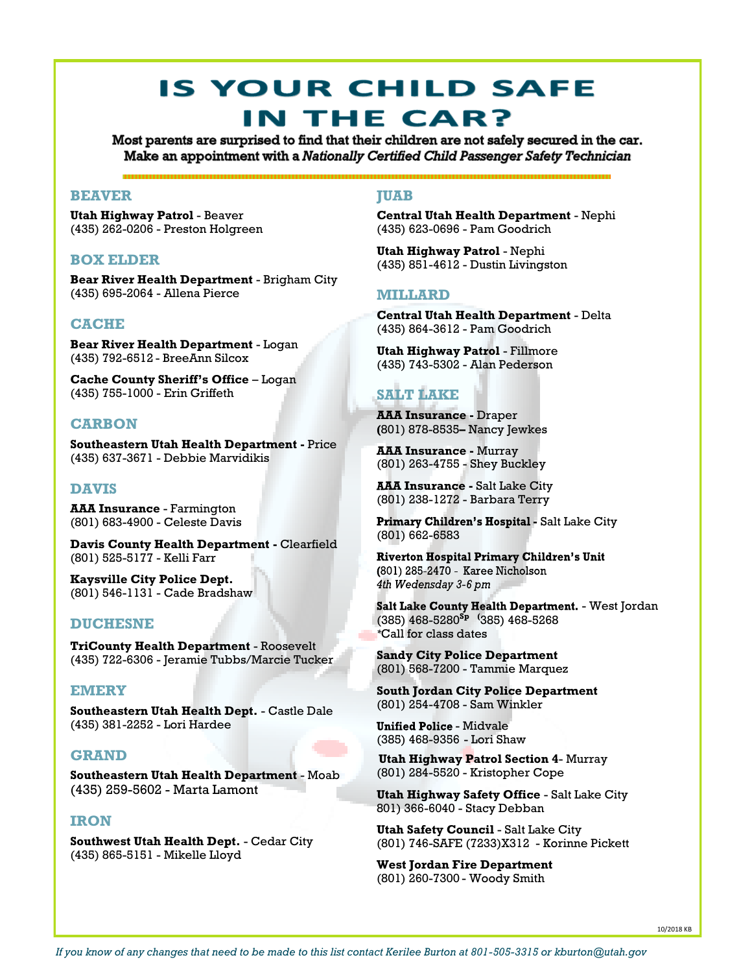# **IS YOUR CHILD SAFE** IN THE CAR?

Most parents are surprised to find that their children are not safely secured in the car. Make an appointment with a Nationally Certified Child Passenger Safety Technician

# **BEAVER**

**Utah Highway Patrol** - Beaver (435) 262-0206 - Preston Holgreen

# **BOX ELDER**

**Bear River Health Department** - Brigham City (435) 695-2064 - Allena Pierce

# **CACHE**

**Bear River Health Department** - Logan (435) 792-6512 - BreeAnn Silcox

**Cache County Sheriff's Office** – Logan (435) 755-1000 - Erin Griffeth

# **CARBON**

**Southeastern Utah Health Department -** Price (435) 637-3671 - Debbie Marvidikis

# **DAVIS**

**AAA Insurance** - Farmington (801) 683-4900 - Celeste Davis

**Davis County Health Department -** Clearfield (801) 525-5177 - Kelli Farr

**Kaysville City Police Dept.** (801) 546-1131 - Cade Bradshaw

#### **DUCHESNE**

**TriCounty Health Department** - Roosevelt (435) 722-6306 - Jeramie Tubbs/Marcie Tucker

## **EMERY**

**Southeastern Utah Health Dept.** - Castle Dale (435) 381-2252 - Lori Hardee

# **GRAND**

**Southeastern Utah Health Department** - Moab (435) 259-5602 - Marta Lamont

## **IRON**

**Southwest Utah Health Dept.** - Cedar City (435) 865-5151 - Mikelle Lloyd

## **JUAB**

**Central Utah Health Department** - Nephi (435) 623-0696 - Pam Goodrich

**Utah Highway Patrol** - Nephi (435) 851-4612 - Dustin Livingston

## **MILLARD**

**Central Utah Health Department** - Delta (435) 864-3612 - Pam Goodrich

**Utah Highway Patrol** - Fillmore (435) 743-5302 - Alan Pederson

# **SALT LAKE**

**AAA Insurance -** Draper **(**801) 878-8535**–** Nancy Jewkes

**AAA Insurance -** Murray (801) 263-4755 - Shey Buckley

**AAA Insurance - Salt Lake City** (801) 238-1272 - Barbara Terry

Primary Children's Hospital - Salt Lake City (801) 662-6583

**Riverton Hospital Primary Children's Unit** (801) 285-2470 - Karee Nicholson 4th Wedensday 3-6 pm

Salt Lake County Health Department. - West Jordan (385) 468-5280**Sp (**385) 468-5268 *\**Call for class dates

**Sandy City Police Department** (801) 568-7200 - Tammie Marquez

**South Jordan City Police Department** (801) 254-4708 - Sam Winkler

**Unified Police - Midvale** (385) 468-9356 - Lori Shaw

**Utah Highway Patrol Section 4**- Murray (801) 284-5520 - Kristopher Cope

**Utah Highway Safety Office** - Salt Lake City 801) 366-6040 - Stacy Debban

**Utah Safety Council** - Salt Lake City (801) 746-SAFE (7233)X312 - Korinne Pickett

**West Jordan Fire Department** (801) 260-7300 - Woody Smith

10/2018 KB